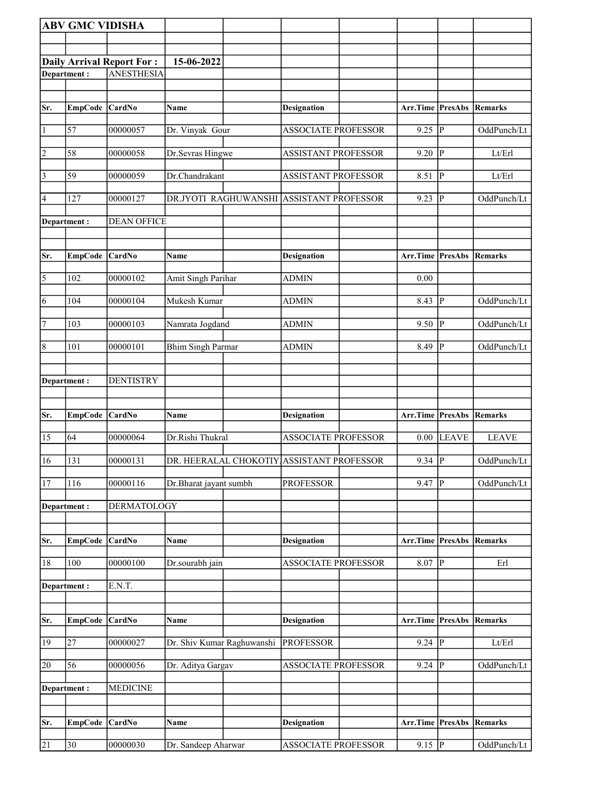|                | <b>ABV GMC VIDISHA</b> |                                  |                            |                                           |                         |                         |              |
|----------------|------------------------|----------------------------------|----------------------------|-------------------------------------------|-------------------------|-------------------------|--------------|
|                |                        |                                  |                            |                                           |                         |                         |              |
|                |                        | <b>Daily Arrival Report For:</b> | 15-06-2022                 |                                           |                         |                         |              |
|                | Department:            | <b>ANESTHESIA</b>                |                            |                                           |                         |                         |              |
|                |                        |                                  |                            |                                           |                         |                         |              |
| Sr.            | EmpCode CardNo         |                                  | Name                       | <b>Designation</b>                        | Arr.Time PresAbs        |                         | Remarks      |
|                |                        |                                  |                            |                                           |                         |                         |              |
| $\vert$ 1      | 57                     | 00000057                         | Dr. Vinyak Gour            | <b>ASSOCIATE PROFESSOR</b>                | 9.25                    | P                       | OddPunch/Lt  |
| $\vert$ 2      | 58                     | 00000058                         | Dr.Sevras Hingwe           | <b>ASSISTANT PROFESSOR</b>                | 9.20                    | ∣P                      | Lt/Erl       |
| $\vert$ 3      | 59                     | 00000059                         | Dr.Chandrakant             | <b>ASSISTANT PROFESSOR</b>                | 8.51                    | ∣P                      | Lt/Erl       |
| 4              | 127                    | 00000127                         | DR.JYOTI RAGHUWANSHI       | <b>ASSISTANT PROFESSOR</b>                | 9.23                    | P                       | OddPunch/Lt  |
|                | Department:            | <b>DEAN OFFICE</b>               |                            |                                           |                         |                         |              |
| Sr.            | <b>EmpCode</b>         | CardNo                           | <b>Name</b>                | <b>Designation</b>                        | Arr.Time PresAbs        |                         | Remarks      |
| $\overline{5}$ | 102                    | 00000102                         | Amit Singh Parihar         | <b>ADMIN</b>                              | 0.00                    |                         |              |
|                |                        |                                  |                            |                                           |                         |                         |              |
| 6              | 104                    | 00000104                         | Mukesh Kumar               | <b>ADMIN</b>                              | 8.43                    | P                       | OddPunch/Lt  |
| 7              | 103                    | 00000103                         | Namrata Jogdand            | <b>ADMIN</b>                              | 9.50                    | lР                      | OddPunch/Lt  |
| $\vert 8$      | 101                    | 00000101                         | <b>Bhim Singh Parmar</b>   | <b>ADMIN</b>                              | 8.49                    | $\overline{P}$          | OddPunch/Lt  |
|                | Department:            | <b>DENTISTRY</b>                 |                            |                                           |                         |                         |              |
|                |                        |                                  |                            |                                           |                         |                         |              |
| Sr.            | <b>EmpCode</b>         | CardNo                           | Name                       | <b>Designation</b>                        | <b>Arr.Time PresAbs</b> |                         | Remarks      |
| 15             | 64                     | 00000064                         | Dr.Rishi Thukral           | <b>ASSOCIATE PROFESSOR</b>                | 0.00                    | LEAVE                   | <b>LEAVE</b> |
| 16             | 131                    | 00000131                         |                            | DR. HEERALAL CHOKOTIY ASSISTANT PROFESSOR | $9.34$ P                |                         | OddPunch/Lt  |
| 17             | 116                    | 00000116                         | Dr.Bharat jayant sumbh     | <b>PROFESSOR</b>                          | 9.47                    | P                       | OddPunch/Lt  |
|                | Department:            | DERMATOLOGY                      |                            |                                           |                         |                         |              |
|                |                        |                                  |                            |                                           |                         |                         |              |
| Sr.            | <b>EmpCode</b>         | CardNo                           | Name                       | <b>Designation</b>                        | Arr.Time PresAbs        |                         | Remarks      |
| 18             | 100                    | 00000100                         | Dr.sourabh jain            | ASSOCIATE PROFESSOR                       | 8.07                    | $\overline{\mathbb{P}}$ | Erl          |
|                | Department :           | E.N.T.                           |                            |                                           |                         |                         |              |
|                |                        |                                  |                            |                                           |                         |                         |              |
| Sr.            | <b>EmpCode</b>         | CardNo                           | <b>Name</b>                | <b>Designation</b>                        | Arr.Time PresAbs        |                         | Remarks      |
| 19             | 27                     | 00000027                         | Dr. Shiv Kumar Raghuwanshi | <b>PROFESSOR</b>                          | 9.24  P                 |                         | Lt/Erl       |
| 20             | 56                     | 00000056                         | Dr. Aditya Gargav          | ASSOCIATE PROFESSOR                       | $9.24$ P                |                         | OddPunch/Lt  |
|                | Department :           | <b>MEDICINE</b>                  |                            |                                           |                         |                         |              |
|                |                        |                                  |                            |                                           |                         |                         |              |
| Sr.            | <b>EmpCode</b>         | CardNo                           | <b>Name</b>                | <b>Designation</b>                        | Arr.Time PresAbs        |                         | Remarks      |
| 21             | 30                     | 00000030                         | Dr. Sandeep Aharwar        | <b>ASSOCIATE PROFESSOR</b>                | $9.15 \overline{P}$     |                         | OddPunch/Lt  |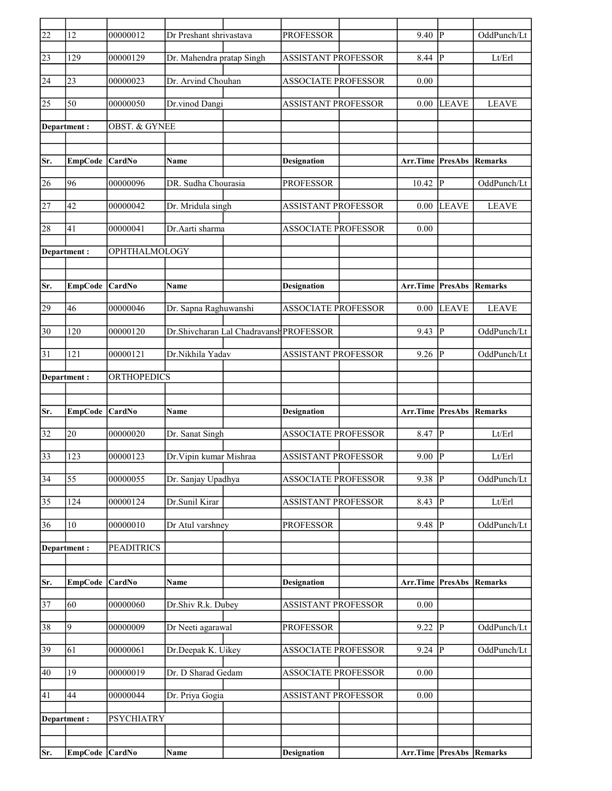| $\overline{22}$ | 12              | 00000012          | Dr Preshant shrivastava   |                                         | <b>PROFESSOR</b>           | 9.40                     | P            | OddPunch/Lt    |
|-----------------|-----------------|-------------------|---------------------------|-----------------------------------------|----------------------------|--------------------------|--------------|----------------|
| 23              | 129             | 00000129          | Dr. Mahendra pratap Singh |                                         | <b>ASSISTANT PROFESSOR</b> | 8.44                     | P            | Lt/Erl         |
| 24              | 23              | 00000023          | Dr. Arvind Chouhan        |                                         | <b>ASSOCIATE PROFESSOR</b> | 0.00                     |              |                |
| 25              | 50              | 00000050          | Dr.vinod Dangi            |                                         | <b>ASSISTANT PROFESSOR</b> | 0.00                     | <b>LEAVE</b> | <b>LEAVE</b>   |
|                 | Department :    | OBST. & GYNEE     |                           |                                         |                            |                          |              |                |
|                 |                 |                   |                           |                                         |                            |                          |              |                |
| Sr.             | <b>EmpCode</b>  | CardNo            | Name                      |                                         | <b>Designation</b>         | Arr.Time PresAbs         |              | Remarks        |
| 26              | 96              | 00000096          | DR. Sudha Chourasia       |                                         | <b>PROFESSOR</b>           | $10.42$ P                |              | OddPunch/Lt    |
| 27              | 42              | 00000042          | Dr. Mridula singh         |                                         | <b>ASSISTANT PROFESSOR</b> | 0.00                     | <b>LEAVE</b> | <b>LEAVE</b>   |
| 28              | 41              | 00000041          | Dr.Aarti sharma           |                                         | <b>ASSOCIATE PROFESSOR</b> | 0.00                     |              |                |
|                 | Department:     | OPHTHALMOLOGY     |                           |                                         |                            |                          |              |                |
|                 |                 |                   |                           |                                         |                            |                          |              |                |
| Sr.             | <b>EmpCode</b>  | CardNo            | Name                      |                                         | <b>Designation</b>         | Arr.Time PresAbs         |              | Remarks        |
| 29              | 46              | 00000046          | Dr. Sapna Raghuwanshi     |                                         | <b>ASSOCIATE PROFESSOR</b> | 0.00                     | <b>LEAVE</b> | <b>LEAVE</b>   |
| 30              | 120             | 00000120          |                           | Dr.Shivcharan Lal Chadravansh PROFESSOR |                            | 9.43                     | p            | OddPunch/Lt    |
| $\overline{31}$ | 121             | 00000121          | Dr.Nikhila Yadav          |                                         | <b>ASSISTANT PROFESSOR</b> | 9.26                     | lР           | OddPunch/Lt    |
|                 | Department :    | ORTHOPEDICS       |                           |                                         |                            |                          |              |                |
|                 |                 |                   |                           |                                         |                            |                          |              |                |
| Sr.             | <b>EmpCode</b>  | CardNo            | Name                      |                                         | <b>Designation</b>         | Arr.Time PresAbs         |              | Remarks        |
| 32              | 20              | 00000020          | Dr. Sanat Singh           |                                         | <b>ASSOCIATE PROFESSOR</b> | $8.47$ P                 |              | Lt/Erl         |
| 33              | 123             | 00000123          | Dr. Vipin kumar Mishraa   |                                         | <b>ASSISTANT PROFESSOR</b> | 9.00                     | lР           | Lt/Erl         |
| $\overline{34}$ | $\overline{55}$ | 00000055          | Dr. Sanjay Upadhya        |                                         | <b>ASSOCIATE PROFESSOR</b> | $9.38$ P                 |              | OddPunch/Lt    |
| 35              | 124             | 00000124          | Dr.Sunil Kirar            |                                         | <b>ASSISTANT PROFESSOR</b> | 8.43                     | P            | ${\rm Lt/Erl}$ |
| 36              | 10              | 00000010          | Dr Atul varshney          |                                         | <b>PROFESSOR</b>           | $9.48$ P                 |              | OddPunch/Lt    |
|                 | Department:     | <b>PEADITRICS</b> |                           |                                         |                            |                          |              |                |
|                 |                 |                   |                           |                                         |                            |                          |              |                |
| Sr.             | <b>EmpCode</b>  | CardNo            | Name                      |                                         | <b>Designation</b>         | Arr.Time PresAbs         |              | Remarks        |
| $\overline{37}$ | 60              | 00000060          | Dr.Shiv R.k. Dubey        |                                         | ASSISTANT PROFESSOR        | $0.00\,$                 |              |                |
| 38              | 9               | 00000009          | Dr Neeti agarawal         |                                         | <b>PROFESSOR</b>           | $9.22$ P                 |              | OddPunch/Lt    |
| 39              | 61              | 00000061          | Dr.Deepak K. Uikey        |                                         | <b>ASSOCIATE PROFESSOR</b> | 9.24  P                  |              | OddPunch/Lt    |
| 40              | 19              | 00000019          | Dr. D Sharad Gedam        |                                         | <b>ASSOCIATE PROFESSOR</b> | 0.00                     |              |                |
| 41              | 44              | 00000044          | Dr. Priya Gogia           |                                         | ASSISTANT PROFESSOR        | 0.00                     |              |                |
|                 | Department:     | <b>PSYCHIATRY</b> |                           |                                         |                            |                          |              |                |
|                 |                 |                   |                           |                                         |                            |                          |              |                |
| Sr.             | EmpCode CardNo  |                   | Name                      |                                         | <b>Designation</b>         | Arr.Time PresAbs Remarks |              |                |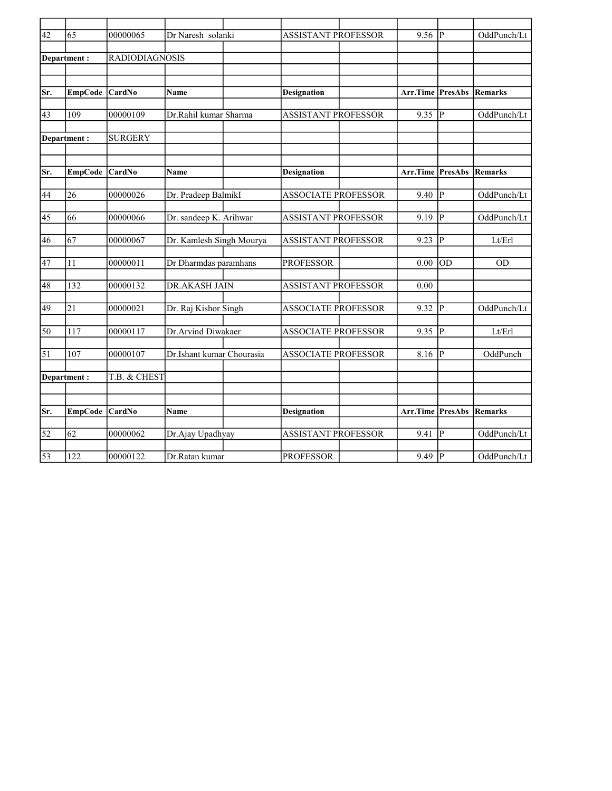| $\overline{42}$ | 65              | 00000065              | Dr Naresh solanki         |                            | <b>ASSISTANT PROFESSOR</b> |                         | $\mathbf P$     | OddPunch/Lt    |
|-----------------|-----------------|-----------------------|---------------------------|----------------------------|----------------------------|-------------------------|-----------------|----------------|
|                 |                 |                       |                           |                            |                            |                         |                 |                |
|                 | Department:     | <b>RADIODIAGNOSIS</b> |                           |                            |                            |                         |                 |                |
|                 |                 |                       |                           |                            |                            |                         |                 |                |
|                 |                 |                       |                           |                            |                            |                         |                 |                |
| Sr.             | <b>EmpCode</b>  | <b>CardNo</b>         | Name                      | <b>Designation</b>         |                            | <b>Arr.Time PresAbs</b> |                 | Remarks        |
|                 |                 |                       |                           |                            |                            |                         |                 |                |
| 43              | 109             | 00000109              | Dr.Rahil kumar Sharma     | <b>ASSISTANT PROFESSOR</b> |                            | $9.35$ P                |                 | OddPunch/Lt    |
|                 |                 |                       |                           |                            |                            |                         |                 |                |
|                 | Department:     | <b>SURGERY</b>        |                           |                            |                            |                         |                 |                |
|                 |                 |                       |                           |                            |                            |                         |                 |                |
| Sr.             | EmpCode CardNo  |                       | Name                      | Designation                |                            | Arr.Time PresAbs        |                 | Remarks        |
|                 |                 |                       |                           |                            |                            |                         |                 |                |
| 44              | 26              | 00000026              | Dr. Pradeep BalmikI       | <b>ASSOCIATE PROFESSOR</b> |                            | 9.40                    | lР              | OddPunch/Lt    |
|                 |                 |                       |                           |                            |                            |                         |                 |                |
| 45              | 66              | 00000066              | Dr. sandeep K. Arihwar    | <b>ASSISTANT PROFESSOR</b> |                            | 9.19                    | lр              | OddPunch/Lt    |
|                 |                 |                       |                           |                            |                            |                         |                 |                |
| 46              | 67              | 00000067              | Dr. Kamlesh Singh Mourya  | <b>ASSISTANT PROFESSOR</b> |                            | 9.23                    | lР              | Lt/Erl         |
|                 |                 |                       |                           |                            |                            |                         |                 |                |
| 47              | 11              | 00000011              | Dr Dharmdas paramhans     | <b>PROFESSOR</b>           |                            | 0.00                    | $\overline{OD}$ | <b>OD</b>      |
|                 |                 |                       |                           |                            |                            |                         |                 |                |
| 48              | 132             | 00000132              | <b>DR.AKASH JAIN</b>      | <b>ASSISTANT PROFESSOR</b> |                            | 0.00                    |                 |                |
|                 |                 |                       |                           |                            |                            |                         |                 |                |
| 49              | $\overline{21}$ | 00000021              | Dr. Raj Kishor Singh      | <b>ASSOCIATE PROFESSOR</b> |                            | 9.32                    | lР              | OddPunch/Lt    |
|                 |                 |                       |                           |                            |                            |                         |                 |                |
| 50              | 117             | 00000117              | Dr.Arvind Diwakaer        | <b>ASSOCIATE PROFESSOR</b> |                            | 9.35                    | lр              | Lt/Erl         |
| $\vert$ 51      | 107             | 00000107              |                           |                            |                            | 8.16                    | $ {\bf p} $     |                |
|                 |                 |                       | Dr.Ishant kumar Chourasia | <b>ASSOCIATE PROFESSOR</b> |                            |                         |                 | OddPunch       |
|                 | Department:     | T.B. & CHEST          |                           |                            |                            |                         |                 |                |
|                 |                 |                       |                           |                            |                            |                         |                 |                |
|                 |                 |                       |                           |                            |                            |                         |                 |                |
| Sr.             | <b>EmpCode</b>  | CardNo                | Name                      | <b>Designation</b>         |                            | <b>Arr.Time PresAbs</b> |                 | <b>Remarks</b> |
|                 |                 |                       |                           |                            |                            |                         |                 |                |
| $\overline{52}$ | 62              | 00000062              | Dr.Ajay Upadhyay          | <b>ASSISTANT PROFESSOR</b> |                            | 9.41                    | IР              | OddPunch/Lt    |
|                 |                 |                       |                           |                            |                            |                         |                 |                |
| $\overline{53}$ | 122             | 00000122              | Dr.Ratan kumar            | <b>PROFESSOR</b>           |                            | $9.49$ P                |                 | OddPunch/Lt    |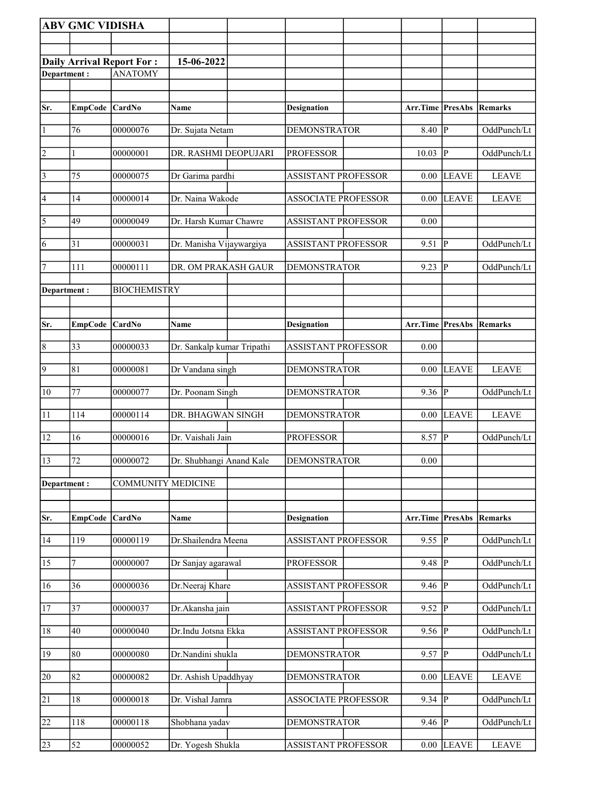|                       | <b>ABV GMC VIDISHA</b> |                                  |                            |                            |                         |                |                |
|-----------------------|------------------------|----------------------------------|----------------------------|----------------------------|-------------------------|----------------|----------------|
|                       |                        |                                  |                            |                            |                         |                |                |
|                       |                        | <b>Daily Arrival Report For:</b> | 15-06-2022                 |                            |                         |                |                |
| Department:           |                        | <b>ANATOMY</b>                   |                            |                            |                         |                |                |
|                       |                        |                                  |                            |                            |                         |                |                |
| Sr.                   | EmpCode CardNo         |                                  | Name                       | <b>Designation</b>         | <b>Arr.Time PresAbs</b> |                | Remarks        |
| 1                     | 76                     | 00000076                         | Dr. Sujata Netam           | <b>DEMONSTRATOR</b>        | 8.40                    | P              | OddPunch/Lt    |
| $\vert$ 2             | 1                      | 00000001                         | DR. RASHMI DEOPUJARI       | <b>PROFESSOR</b>           | 10.03                   | <sup> </sup> P | OddPunch/Lt    |
| $\vert$ 3             | 75                     | 00000075                         | Dr Garima pardhi           | <b>ASSISTANT PROFESSOR</b> | 0.00                    | <b>LEAVE</b>   | <b>LEAVE</b>   |
| 4                     | 14                     | 00000014                         | Dr. Naina Wakode           | <b>ASSOCIATE PROFESSOR</b> | 0.00                    | <b>LEAVE</b>   | <b>LEAVE</b>   |
| $\overline{\sqrt{5}}$ | 49                     | 00000049                         | Dr. Harsh Kumar Chawre     | <b>ASSISTANT PROFESSOR</b> | 0.00                    |                |                |
| 6                     | 31                     | 00000031                         | Dr. Manisha Vijaywargiya   | <b>ASSISTANT PROFESSOR</b> | 9.51                    | p              | OddPunch/Lt    |
| $\vert$ 7             | 111                    | 00000111                         | DR. OM PRAKASH GAUR        | <b>DEMONSTRATOR</b>        | 9.23                    | IР             | OddPunch/Lt    |
| Department:           |                        | <b>BIOCHEMISTRY</b>              |                            |                            |                         |                |                |
|                       |                        |                                  |                            |                            |                         |                |                |
| Sr.                   | <b>EmpCode</b>         | CardNo                           | Name                       | <b>Designation</b>         | Arr.Time                | PresAbs        | Remarks        |
|                       |                        |                                  |                            |                            |                         |                |                |
| $\overline{8}$        | 33                     | 00000033                         | Dr. Sankalp kumar Tripathi | ASSISTANT PROFESSOR        | 0.00                    |                |                |
| $\overline{9}$        | 81                     | 00000081                         | Dr Vandana singh           | <b>DEMONSTRATOR</b>        | 0.00                    | <b>LEAVE</b>   | <b>LEAVE</b>   |
| 10                    | 77                     | 00000077                         | Dr. Poonam Singh           | <b>DEMONSTRATOR</b>        | 9.36                    | <sup> </sup> P | OddPunch/Lt    |
| 11                    | 114                    | 00000114                         | DR. BHAGWAN SINGH          | <b>DEMONSTRATOR</b>        | 0.00                    | <b>LEAVE</b>   | <b>LEAVE</b>   |
| 12                    | 16                     | 00000016                         | Dr. Vaishali Jain          | <b>PROFESSOR</b>           | 8.57                    | ∣P             | OddPunch/Lt    |
| 13                    | 72                     | 00000072                         | Dr. Shubhangi Anand Kale   | <b>DEMONSTRATOR</b>        | 0.00                    |                |                |
| Department:           |                        | <b>COMMUNITY MEDICINE</b>        |                            |                            |                         |                |                |
|                       |                        |                                  |                            |                            |                         |                |                |
| Sr.                   | <b>EmpCode</b>         | CardNo                           | Name                       | <b>Designation</b>         | Arr.Time PresAbs        |                | <b>Remarks</b> |
| 14                    | 119                    | 00000119                         | Dr.Shailendra Meena        | <b>ASSISTANT PROFESSOR</b> | 9.55 $  \overline{P}$   |                | OddPunch/Lt    |
| 15                    | 7                      | 00000007                         | Dr Sanjay agarawal         | <b>PROFESSOR</b>           | 9.48                    | ∣P             | OddPunch/Lt    |
| 16                    | 36                     | 00000036                         | Dr.Neeraj Khare            | <b>ASSISTANT PROFESSOR</b> | 9.46                    | ∣P             | OddPunch/Lt    |
| <sup>17</sup>         | 37                     | 00000037                         | Dr.Akansha jain            | ASSISTANT PROFESSOR        | 9.52                    | IР             | OddPunch/Lt    |
| 18                    | 40                     | 00000040                         | Dr.Indu Jotsna Ekka        | <b>ASSISTANT PROFESSOR</b> | 9.56                    | P              | OddPunch/Lt    |
| 19                    | 80                     | 00000080                         | Dr.Nandini shukla          | <b>DEMONSTRATOR</b>        | $9.57$ P                |                | OddPunch/Lt    |
| 20                    | 82                     | 00000082                         | Dr. Ashish Upaddhyay       | <b>DEMONSTRATOR</b>        | 0.00                    | <b>LEAVE</b>   | <b>LEAVE</b>   |
| $\overline{21}$       | 18                     | 00000018                         | Dr. Vishal Jamra           | <b>ASSOCIATE PROFESSOR</b> | $9.34$ P                |                | OddPunch/Lt    |
| 22                    | 118                    | 00000118                         | Shobhana yadav             | <b>DEMONSTRATOR</b>        | 9.46                    | IР             | OddPunch/Lt    |
| 23                    | 52                     | 00000052                         | Dr. Yogesh Shukla          | ASSISTANT PROFESSOR        | $0.00\,$                | <b>LEAVE</b>   | <b>LEAVE</b>   |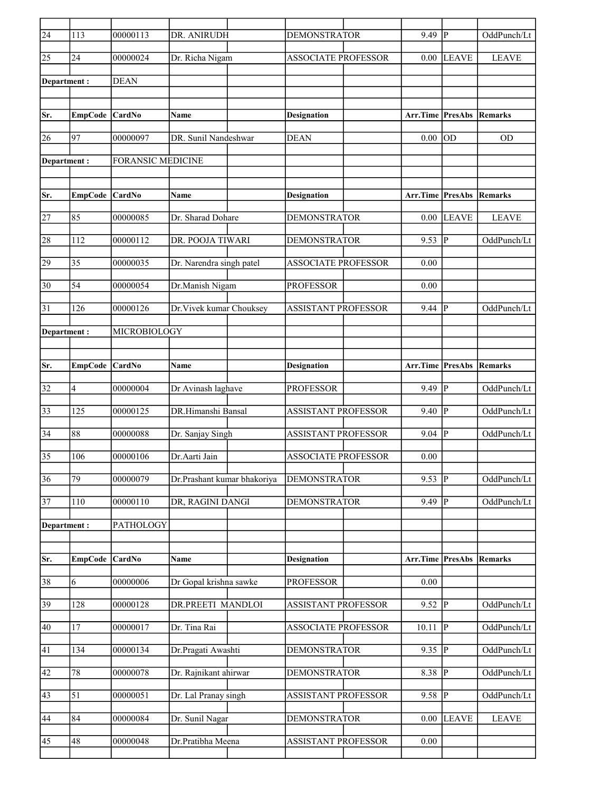| $\overline{24}$ | 113            | 00000113                 | DR. ANIRUDH                 | <b>DEMONSTRATOR</b>        | 9.49             | lР                     | OddPunch/Lt    |
|-----------------|----------------|--------------------------|-----------------------------|----------------------------|------------------|------------------------|----------------|
| 25              | 24             | 00000024                 | Dr. Richa Nigam             | <b>ASSOCIATE PROFESSOR</b> | 0.00             | <b>LEAVE</b>           | <b>LEAVE</b>   |
| Department :    |                | <b>DEAN</b>              |                             |                            |                  |                        |                |
|                 |                |                          |                             |                            |                  |                        |                |
| Sr.             | <b>EmpCode</b> | CardNo                   | <b>Name</b>                 | <b>Designation</b>         | Arr.Time         | <b>PresAbs Remarks</b> |                |
| 26              | 97             | 00000097                 | DR. Sunil Nandeshwar        | <b>DEAN</b>                | 0.00             | OD                     | <b>OD</b>      |
|                 |                |                          |                             |                            |                  |                        |                |
| Department:     |                | <b>FORANSIC MEDICINE</b> |                             |                            |                  |                        |                |
|                 |                |                          |                             |                            |                  |                        |                |
| Sr.             | <b>EmpCode</b> | CardNo                   | Name                        | <b>Designation</b>         | Arr.Time         | PresAbs                | <b>Remarks</b> |
| 27              | 85             | 00000085                 | Dr. Sharad Dohare           | <b>DEMONSTRATOR</b>        | 0.00             | <b>LEAVE</b>           | <b>LEAVE</b>   |
| 28              | 112            | 00000112                 | DR. POOJA TIWARI            | <b>DEMONSTRATOR</b>        | 9.53             | $ {\bf p} $            | OddPunch/Lt    |
| 29              | 35             | 00000035                 | Dr. Narendra singh patel    | <b>ASSOCIATE PROFESSOR</b> | 0.00             |                        |                |
| 30              | 54             | 00000054                 | Dr.Manish Nigam             | <b>PROFESSOR</b>           | 0.00             |                        |                |
|                 |                |                          |                             |                            |                  |                        |                |
| 31              | 126            | 00000126                 | Dr. Vivek kumar Chouksey    | <b>ASSISTANT PROFESSOR</b> | 9.44             | P                      | OddPunch/Lt    |
| Department :    |                | MICROBIOLOGY             |                             |                            |                  |                        |                |
|                 |                |                          |                             |                            |                  |                        |                |
| Sr.             | <b>EmpCode</b> | CardNo                   | Name                        | <b>Designation</b>         | Arr.Time         | PresAbs                | Remarks        |
| 32              | $\overline{4}$ | 00000004                 | Dr Avinash laghave          | <b>PROFESSOR</b>           | 9.49             | lР                     | OddPunch/Lt    |
| 33              | 125            | 00000125                 | DR.Himanshi Bansal          | ASSISTANT PROFESSOR        | 9.40             | P                      | OddPunch/Lt    |
| 34              | 88             | 00000088                 | Dr. Sanjay Singh            | <b>ASSISTANT PROFESSOR</b> | 9.04             | $ {\bf p} $            | OddPunch/Lt    |
| 35              | 106            | 00000106                 | Dr.Aarti Jain               | <b>ASSOCIATE PROFESSOR</b> | 0.00             |                        |                |
| 36              | 79             | 00000079                 | Dr.Prashant kumar bhakoriya | <b>DEMONSTRATOR</b>        | 9.53             | $\overline{P}$         | OddPunch/Lt    |
| 37              | 110            | 00000110                 | DR, RAGINI DANGI            | <b>DEMONSTRATOR</b>        | 9.49             | P                      | OddPunch/Lt    |
|                 |                |                          |                             |                            |                  |                        |                |
| Department:     |                | PATHOLOGY                |                             |                            |                  |                        |                |
|                 |                | CardNo                   |                             |                            |                  |                        |                |
| Sr.             | <b>EmpCode</b> |                          | Name                        | <b>Designation</b>         | Arr.Time PresAbs |                        | Remarks        |
| 38              | 6              | 00000006                 | Dr Gopal krishna sawke      | <b>PROFESSOR</b>           | 0.00             |                        |                |
| 39              | 128            | 00000128                 | DR.PREETI MANDLOI           | <b>ASSISTANT PROFESSOR</b> | $9.52$ P         |                        | OddPunch/Lt    |
| 40              | 17             | 00000017                 | Dr. Tina Rai                | <b>ASSOCIATE PROFESSOR</b> | 10.11            | lР                     | OddPunch/Lt    |
| 41              | 134            | 00000134                 | Dr.Pragati Awashti          | <b>DEMONSTRATOR</b>        | 9.35  P          |                        | OddPunch/Lt    |
| 42              | 78             | 00000078                 | Dr. Rajnikant ahirwar       | <b>DEMONSTRATOR</b>        | 8.38 $\sqrt{P}$  |                        | OddPunch/Lt    |
| 43              | 51             | 00000051                 | Dr. Lal Pranay singh        | ASSISTANT PROFESSOR        | 9.58             | p                      | OddPunch/Lt    |
|                 |                |                          |                             |                            |                  |                        |                |
| 44              | 84             | 00000084                 | Dr. Sunil Nagar             | <b>DEMONSTRATOR</b>        | 0.00             | <b>LEAVE</b>           | <b>LEAVE</b>   |
| 45              | 48             | 00000048                 | Dr.Pratibha Meena           | ASSISTANT PROFESSOR        | 0.00             |                        |                |
|                 |                |                          |                             |                            |                  |                        |                |